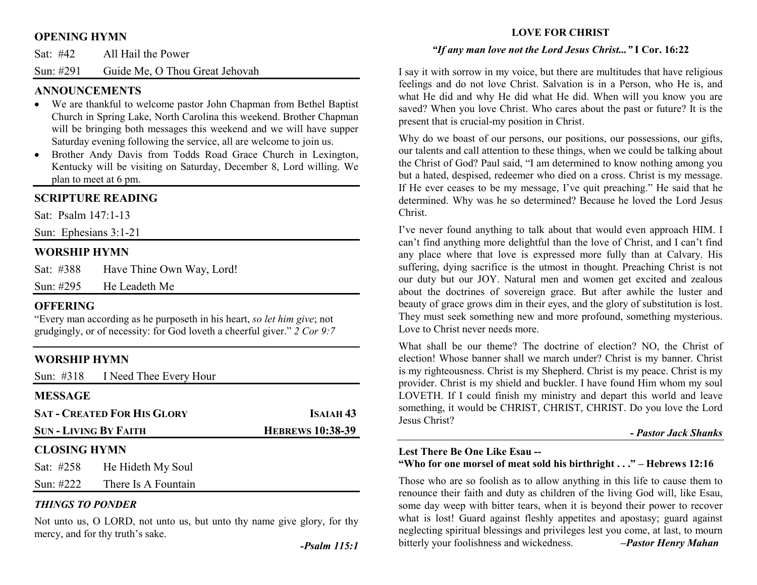### **OPENING HYMN**

| Sat: #42 | All Hail the Power |  |
|----------|--------------------|--|
|          |                    |  |

Sun: #291 Guide Me, O Thou Great Jehovah

### **ANNOUNCEMENTS**

- We are thankful to welcome pastor John Chapman from Bethel Baptist Church in Spring Lake, North Carolina this weekend. Brother Chapman will be bringing both messages this weekend and we will have supper Saturday evening following the service, all are welcome to join us.
- Brother Andy Davis from Todds Road Grace Church in Lexington, •Kentucky will be visiting on Saturday, December 8, Lord willing. We plan to meet at 6 pm.

## **SCRIPTURE READING**

Sat: Psalm 147:1-13

Sun: Ephesians 3:1-21

### **WORSHIP HYMN**

| Sat: #388    | Have Thine Own Way, Lord! |
|--------------|---------------------------|
| Sun: $\#295$ | He Leadeth Me             |

### **OFFERING**

 "Every man according as he purposeth in his heart, *so let him give*; not grudgingly, or of necessity: for God loveth a cheerful giver." *2 Cor 9:7*

# **WORSHIP HYMN**

|                            | Sun: #318 I Need Thee Every Hour   |                         |
|----------------------------|------------------------------------|-------------------------|
| <b>MESSAGE</b>             |                                    |                         |
|                            | <b>SAT - CREATED FOR HIS GLORY</b> | ISAIAH <sub>43</sub>    |
| <b>SUN-LIVING BY FAITH</b> |                                    | <b>HEBREWS 10:38-39</b> |
| <b>CLOSING HYMN</b>        |                                    |                         |
|                            | Sat: #258 He Hideth My Soul        |                         |
|                            | Sun: #222 There Is A Fountain      |                         |

### *THINGS TO PONDER*

Not unto us, O LORD, not unto us, but unto thy name give glory, for thy mercy, and for thy truth's sake.

### **LOVE FOR CHRIST**

### *"If any man love not the Lord Jesus Christ..."* **I Cor. 16:22**

I say it with sorrow in my voice, but there are multitudes that have religious feelings and do not love Christ. Salvation is in a Person, who He is, and what He did and why He did what He did. When will you know you are saved? When you love Christ. Who cares about the past or future? It is the present that is crucial-my position in Christ.

Why do we boast of our persons, our positions, our possessions, our gifts, our talents and call attention to these things, when we could be talking about the Christ of God? Paul said, "I am determined to know nothing among you but a hated, despised, redeemer who died on a cross. Christ is my message. If He ever ceases to be my message, I've quit preaching." He said that he determined. Why was he so determined? Because he loved the Lord Jesus Christ.

I've never found anything to talk about that would even approach HIM. I can't find anything more delightful than the love of Christ, and I can't find any place where that love is expressed more fully than at Calvary. His suffering, dying sacrifice is the utmost in thought. Preaching Christ is not our duty but our JOY. Natural men and women get excited and zealous about the doctrines of sovereign grace. But after awhile the luster and beauty of grace grows dim in their eyes, and the glory of substitution is lost. They must seek something new and more profound, something mysterious. Love to Christ never needs more.

What shall be our theme? The doctrine of election? NO, the Christ of election! Whose banner shall we march under? Christ is my banner. Christ is my righteousness. Christ is my Shepherd. Christ is my peace. Christ is my provider. Christ is my shield and buckler. I have found Him whom my soul LOVETH. If I could finish my ministry and depart this world and leave something, it would be CHRIST, CHRIST, CHRIST. Do you love the Lord Jesus Christ?

**-** *Pastor Jack Shanks*

# **Lest There Be One Like Esau --**

### **"Who for one morsel of meat sold his birthright . . ." – Hebrews 12:16**

Those who are so foolish as to allow anything in this life to cause them to renounce their faith and duty as children of the living God will, like Esau, some day weep with bitter tears, when it is beyond their power to recover what is lost! Guard against fleshly appetites and apostasy; guard against neglecting spiritual blessings and privileges lest you come, at last, to mourn bitterly your foolishness and wickedness. *–Pastor Henry Mahan*